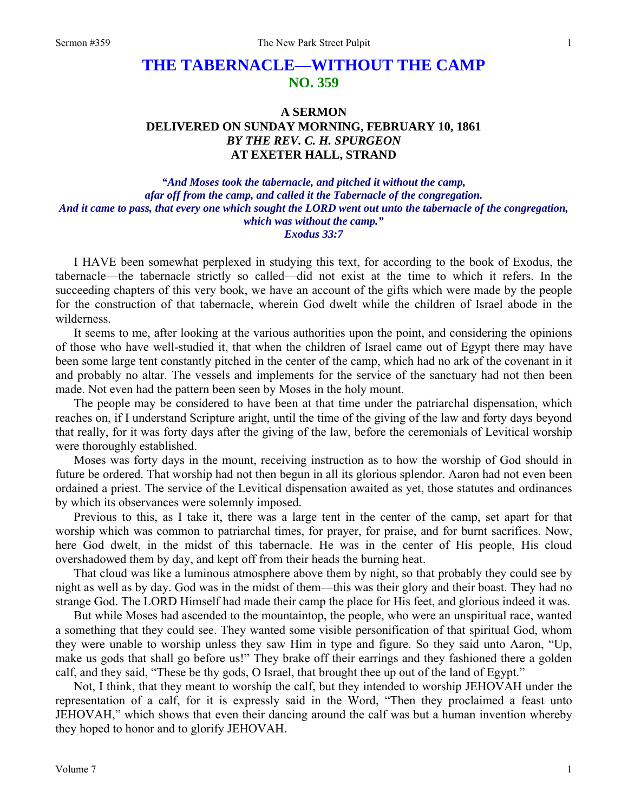## **THE TABERNACLE—WITHOUT THE CAMP NO. 359**

## **A SERMON DELIVERED ON SUNDAY MORNING, FEBRUARY 10, 1861**  *BY THE REV. C. H. SPURGEON*  **AT EXETER HALL, STRAND**

*"And Moses took the tabernacle, and pitched it without the camp, afar off from the camp, and called it the Tabernacle of the congregation. And it came to pass, that every one which sought the LORD went out unto the tabernacle of the congregation, which was without the camp." Exodus 33:7* 

I HAVE been somewhat perplexed in studying this text, for according to the book of Exodus, the tabernacle—the tabernacle strictly so called—did not exist at the time to which it refers. In the succeeding chapters of this very book, we have an account of the gifts which were made by the people for the construction of that tabernacle, wherein God dwelt while the children of Israel abode in the wilderness.

It seems to me, after looking at the various authorities upon the point, and considering the opinions of those who have well-studied it, that when the children of Israel came out of Egypt there may have been some large tent constantly pitched in the center of the camp, which had no ark of the covenant in it and probably no altar. The vessels and implements for the service of the sanctuary had not then been made. Not even had the pattern been seen by Moses in the holy mount.

The people may be considered to have been at that time under the patriarchal dispensation, which reaches on, if I understand Scripture aright, until the time of the giving of the law and forty days beyond that really, for it was forty days after the giving of the law, before the ceremonials of Levitical worship were thoroughly established.

Moses was forty days in the mount, receiving instruction as to how the worship of God should in future be ordered. That worship had not then begun in all its glorious splendor. Aaron had not even been ordained a priest. The service of the Levitical dispensation awaited as yet, those statutes and ordinances by which its observances were solemnly imposed.

Previous to this, as I take it, there was a large tent in the center of the camp, set apart for that worship which was common to patriarchal times, for prayer, for praise, and for burnt sacrifices. Now, here God dwelt, in the midst of this tabernacle. He was in the center of His people, His cloud overshadowed them by day, and kept off from their heads the burning heat.

That cloud was like a luminous atmosphere above them by night, so that probably they could see by night as well as by day. God was in the midst of them—this was their glory and their boast. They had no strange God. The LORD Himself had made their camp the place for His feet, and glorious indeed it was.

But while Moses had ascended to the mountaintop, the people, who were an unspiritual race, wanted a something that they could see. They wanted some visible personification of that spiritual God, whom they were unable to worship unless they saw Him in type and figure. So they said unto Aaron, "Up, make us gods that shall go before us!" They brake off their earrings and they fashioned there a golden calf, and they said, "These be thy gods, O Israel, that brought thee up out of the land of Egypt."

Not, I think, that they meant to worship the calf, but they intended to worship JEHOVAH under the representation of a calf, for it is expressly said in the Word, "Then they proclaimed a feast unto JEHOVAH," which shows that even their dancing around the calf was but a human invention whereby they hoped to honor and to glorify JEHOVAH.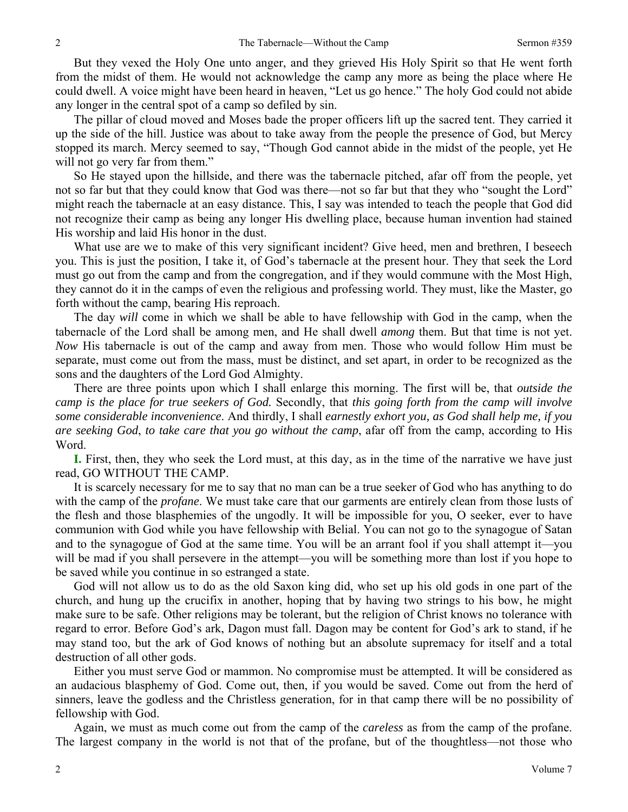But they vexed the Holy One unto anger, and they grieved His Holy Spirit so that He went forth from the midst of them. He would not acknowledge the camp any more as being the place where He could dwell. A voice might have been heard in heaven, "Let us go hence." The holy God could not abide any longer in the central spot of a camp so defiled by sin.

The pillar of cloud moved and Moses bade the proper officers lift up the sacred tent. They carried it up the side of the hill. Justice was about to take away from the people the presence of God, but Mercy stopped its march. Mercy seemed to say, "Though God cannot abide in the midst of the people, yet He will not go very far from them."

So He stayed upon the hillside, and there was the tabernacle pitched, afar off from the people, yet not so far but that they could know that God was there—not so far but that they who "sought the Lord" might reach the tabernacle at an easy distance. This, I say was intended to teach the people that God did not recognize their camp as being any longer His dwelling place, because human invention had stained His worship and laid His honor in the dust.

What use are we to make of this very significant incident? Give heed, men and brethren, I beseech you. This is just the position, I take it, of God's tabernacle at the present hour. They that seek the Lord must go out from the camp and from the congregation, and if they would commune with the Most High, they cannot do it in the camps of even the religious and professing world. They must, like the Master, go forth without the camp, bearing His reproach.

The day *will* come in which we shall be able to have fellowship with God in the camp, when the tabernacle of the Lord shall be among men, and He shall dwell *among* them. But that time is not yet. *Now* His tabernacle is out of the camp and away from men. Those who would follow Him must be separate, must come out from the mass, must be distinct, and set apart, in order to be recognized as the sons and the daughters of the Lord God Almighty.

There are three points upon which I shall enlarge this morning. The first will be, that *outside the camp is the place for true seekers of God.* Secondly, that *this going forth from the camp will involve some considerable inconvenience*. And thirdly, I shall *earnestly exhort you, as God shall help me, if you are seeking God*, *to take care that you go without the camp*, afar off from the camp, according to His Word.

**I.** First, then, they who seek the Lord must, at this day, as in the time of the narrative we have just read, GO WITHOUT THE CAMP.

It is scarcely necessary for me to say that no man can be a true seeker of God who has anything to do with the camp of the *profane*. We must take care that our garments are entirely clean from those lusts of the flesh and those blasphemies of the ungodly. It will be impossible for you, O seeker, ever to have communion with God while you have fellowship with Belial. You can not go to the synagogue of Satan and to the synagogue of God at the same time. You will be an arrant fool if you shall attempt it—you will be mad if you shall persevere in the attempt—you will be something more than lost if you hope to be saved while you continue in so estranged a state.

God will not allow us to do as the old Saxon king did, who set up his old gods in one part of the church, and hung up the crucifix in another, hoping that by having two strings to his bow, he might make sure to be safe. Other religions may be tolerant, but the religion of Christ knows no tolerance with regard to error. Before God's ark, Dagon must fall. Dagon may be content for God's ark to stand, if he may stand too, but the ark of God knows of nothing but an absolute supremacy for itself and a total destruction of all other gods.

Either you must serve God or mammon. No compromise must be attempted. It will be considered as an audacious blasphemy of God. Come out, then, if you would be saved. Come out from the herd of sinners, leave the godless and the Christless generation, for in that camp there will be no possibility of fellowship with God.

Again, we must as much come out from the camp of the *careless* as from the camp of the profane. The largest company in the world is not that of the profane, but of the thoughtless—not those who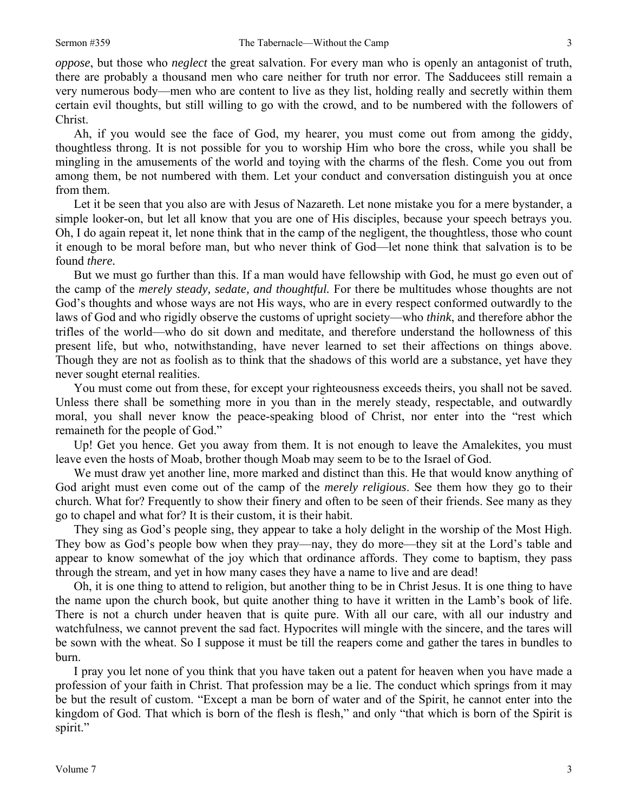3

*oppose*, but those who *neglect* the great salvation. For every man who is openly an antagonist of truth, there are probably a thousand men who care neither for truth nor error. The Sadducees still remain a very numerous body—men who are content to live as they list, holding really and secretly within them certain evil thoughts, but still willing to go with the crowd, and to be numbered with the followers of Christ.

Ah, if you would see the face of God, my hearer, you must come out from among the giddy, thoughtless throng. It is not possible for you to worship Him who bore the cross, while you shall be mingling in the amusements of the world and toying with the charms of the flesh. Come you out from among them, be not numbered with them. Let your conduct and conversation distinguish you at once from them.

Let it be seen that you also are with Jesus of Nazareth. Let none mistake you for a mere bystander, a simple looker-on, but let all know that you are one of His disciples, because your speech betrays you. Oh, I do again repeat it, let none think that in the camp of the negligent, the thoughtless, those who count it enough to be moral before man, but who never think of God—let none think that salvation is to be found *there.*

But we must go further than this. If a man would have fellowship with God, he must go even out of the camp of the *merely steady, sedate, and thoughtful.* For there be multitudes whose thoughts are not God's thoughts and whose ways are not His ways, who are in every respect conformed outwardly to the laws of God and who rigidly observe the customs of upright society—who *think*, and therefore abhor the trifles of the world—who do sit down and meditate, and therefore understand the hollowness of this present life, but who, notwithstanding, have never learned to set their affections on things above. Though they are not as foolish as to think that the shadows of this world are a substance, yet have they never sought eternal realities.

You must come out from these, for except your righteousness exceeds theirs, you shall not be saved. Unless there shall be something more in you than in the merely steady, respectable, and outwardly moral, you shall never know the peace-speaking blood of Christ, nor enter into the "rest which remaineth for the people of God."

Up! Get you hence. Get you away from them. It is not enough to leave the Amalekites, you must leave even the hosts of Moab, brother though Moab may seem to be to the Israel of God.

We must draw yet another line, more marked and distinct than this. He that would know anything of God aright must even come out of the camp of the *merely religious*. See them how they go to their church. What for? Frequently to show their finery and often to be seen of their friends. See many as they go to chapel and what for? It is their custom, it is their habit.

They sing as God's people sing, they appear to take a holy delight in the worship of the Most High. They bow as God's people bow when they pray—nay, they do more—they sit at the Lord's table and appear to know somewhat of the joy which that ordinance affords. They come to baptism, they pass through the stream, and yet in how many cases they have a name to live and are dead!

Oh, it is one thing to attend to religion, but another thing to be in Christ Jesus. It is one thing to have the name upon the church book, but quite another thing to have it written in the Lamb's book of life. There is not a church under heaven that is quite pure. With all our care, with all our industry and watchfulness, we cannot prevent the sad fact. Hypocrites will mingle with the sincere, and the tares will be sown with the wheat. So I suppose it must be till the reapers come and gather the tares in bundles to burn.

I pray you let none of you think that you have taken out a patent for heaven when you have made a profession of your faith in Christ. That profession may be a lie. The conduct which springs from it may be but the result of custom. "Except a man be born of water and of the Spirit, he cannot enter into the kingdom of God. That which is born of the flesh is flesh," and only "that which is born of the Spirit is spirit."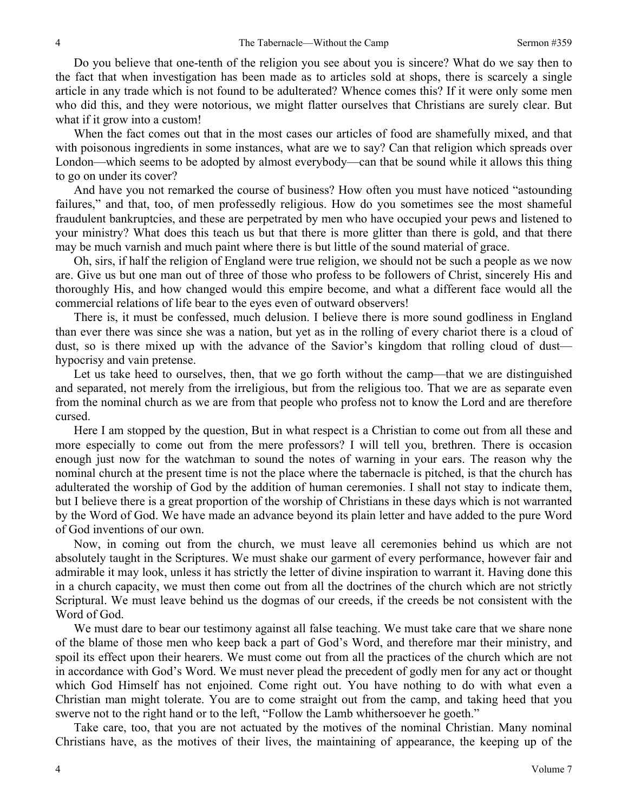Do you believe that one-tenth of the religion you see about you is sincere? What do we say then to the fact that when investigation has been made as to articles sold at shops, there is scarcely a single article in any trade which is not found to be adulterated? Whence comes this? If it were only some men who did this, and they were notorious, we might flatter ourselves that Christians are surely clear. But what if it grow into a custom!

When the fact comes out that in the most cases our articles of food are shamefully mixed, and that with poisonous ingredients in some instances, what are we to say? Can that religion which spreads over London—which seems to be adopted by almost everybody—can that be sound while it allows this thing to go on under its cover?

And have you not remarked the course of business? How often you must have noticed "astounding failures," and that, too, of men professedly religious. How do you sometimes see the most shameful fraudulent bankruptcies, and these are perpetrated by men who have occupied your pews and listened to your ministry? What does this teach us but that there is more glitter than there is gold, and that there may be much varnish and much paint where there is but little of the sound material of grace.

Oh, sirs, if half the religion of England were true religion, we should not be such a people as we now are. Give us but one man out of three of those who profess to be followers of Christ, sincerely His and thoroughly His, and how changed would this empire become, and what a different face would all the commercial relations of life bear to the eyes even of outward observers!

There is, it must be confessed, much delusion. I believe there is more sound godliness in England than ever there was since she was a nation, but yet as in the rolling of every chariot there is a cloud of dust, so is there mixed up with the advance of the Savior's kingdom that rolling cloud of dust hypocrisy and vain pretense.

Let us take heed to ourselves, then, that we go forth without the camp—that we are distinguished and separated, not merely from the irreligious, but from the religious too. That we are as separate even from the nominal church as we are from that people who profess not to know the Lord and are therefore cursed.

Here I am stopped by the question, But in what respect is a Christian to come out from all these and more especially to come out from the mere professors? I will tell you, brethren. There is occasion enough just now for the watchman to sound the notes of warning in your ears. The reason why the nominal church at the present time is not the place where the tabernacle is pitched, is that the church has adulterated the worship of God by the addition of human ceremonies. I shall not stay to indicate them, but I believe there is a great proportion of the worship of Christians in these days which is not warranted by the Word of God. We have made an advance beyond its plain letter and have added to the pure Word of God inventions of our own.

Now, in coming out from the church, we must leave all ceremonies behind us which are not absolutely taught in the Scriptures. We must shake our garment of every performance, however fair and admirable it may look, unless it has strictly the letter of divine inspiration to warrant it. Having done this in a church capacity, we must then come out from all the doctrines of the church which are not strictly Scriptural. We must leave behind us the dogmas of our creeds, if the creeds be not consistent with the Word of God.

We must dare to bear our testimony against all false teaching. We must take care that we share none of the blame of those men who keep back a part of God's Word, and therefore mar their ministry, and spoil its effect upon their hearers. We must come out from all the practices of the church which are not in accordance with God's Word. We must never plead the precedent of godly men for any act or thought which God Himself has not enjoined. Come right out. You have nothing to do with what even a Christian man might tolerate. You are to come straight out from the camp, and taking heed that you swerve not to the right hand or to the left, "Follow the Lamb whithersoever he goeth."

Take care, too, that you are not actuated by the motives of the nominal Christian. Many nominal Christians have, as the motives of their lives, the maintaining of appearance, the keeping up of the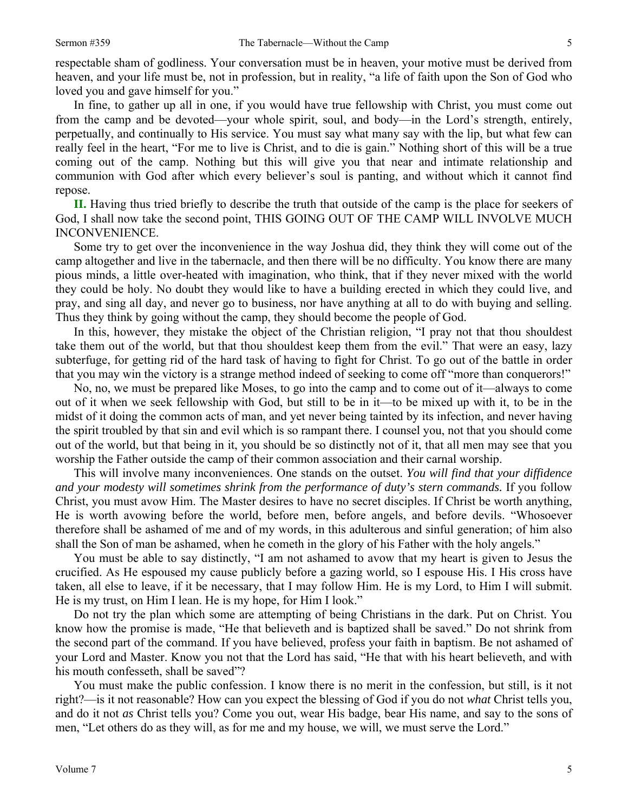respectable sham of godliness. Your conversation must be in heaven, your motive must be derived from heaven, and your life must be, not in profession, but in reality, "a life of faith upon the Son of God who loved you and gave himself for you."

In fine, to gather up all in one, if you would have true fellowship with Christ, you must come out from the camp and be devoted—your whole spirit, soul, and body—in the Lord's strength, entirely, perpetually, and continually to His service. You must say what many say with the lip, but what few can really feel in the heart, "For me to live is Christ, and to die is gain." Nothing short of this will be a true coming out of the camp. Nothing but this will give you that near and intimate relationship and communion with God after which every believer's soul is panting, and without which it cannot find repose.

**II.** Having thus tried briefly to describe the truth that outside of the camp is the place for seekers of God, I shall now take the second point, THIS GOING OUT OF THE CAMP WILL INVOLVE MUCH INCONVENIENCE.

Some try to get over the inconvenience in the way Joshua did, they think they will come out of the camp altogether and live in the tabernacle, and then there will be no difficulty. You know there are many pious minds, a little over-heated with imagination, who think, that if they never mixed with the world they could be holy. No doubt they would like to have a building erected in which they could live, and pray, and sing all day, and never go to business, nor have anything at all to do with buying and selling. Thus they think by going without the camp, they should become the people of God.

In this, however, they mistake the object of the Christian religion, "I pray not that thou shouldest take them out of the world, but that thou shouldest keep them from the evil." That were an easy, lazy subterfuge, for getting rid of the hard task of having to fight for Christ. To go out of the battle in order that you may win the victory is a strange method indeed of seeking to come off "more than conquerors!"

No, no, we must be prepared like Moses, to go into the camp and to come out of it—always to come out of it when we seek fellowship with God, but still to be in it—to be mixed up with it, to be in the midst of it doing the common acts of man, and yet never being tainted by its infection, and never having the spirit troubled by that sin and evil which is so rampant there. I counsel you, not that you should come out of the world, but that being in it, you should be so distinctly not of it, that all men may see that you worship the Father outside the camp of their common association and their carnal worship.

This will involve many inconveniences. One stands on the outset. *You will find that your diffidence and your modesty will sometimes shrink from the performance of duty's stern commands.* If you follow Christ, you must avow Him. The Master desires to have no secret disciples. If Christ be worth anything, He is worth avowing before the world, before men, before angels, and before devils. "Whosoever therefore shall be ashamed of me and of my words, in this adulterous and sinful generation; of him also shall the Son of man be ashamed, when he cometh in the glory of his Father with the holy angels."

You must be able to say distinctly, "I am not ashamed to avow that my heart is given to Jesus the crucified. As He espoused my cause publicly before a gazing world, so I espouse His. I His cross have taken, all else to leave, if it be necessary, that I may follow Him. He is my Lord, to Him I will submit. He is my trust, on Him I lean. He is my hope, for Him I look."

Do not try the plan which some are attempting of being Christians in the dark. Put on Christ. You know how the promise is made, "He that believeth and is baptized shall be saved." Do not shrink from the second part of the command. If you have believed, profess your faith in baptism. Be not ashamed of your Lord and Master. Know you not that the Lord has said, "He that with his heart believeth, and with his mouth confesseth, shall be saved"?

You must make the public confession. I know there is no merit in the confession, but still, is it not right?—is it not reasonable? How can you expect the blessing of God if you do not *what* Christ tells you, and do it not *as* Christ tells you? Come you out, wear His badge, bear His name, and say to the sons of men, "Let others do as they will, as for me and my house, we will, we must serve the Lord."

5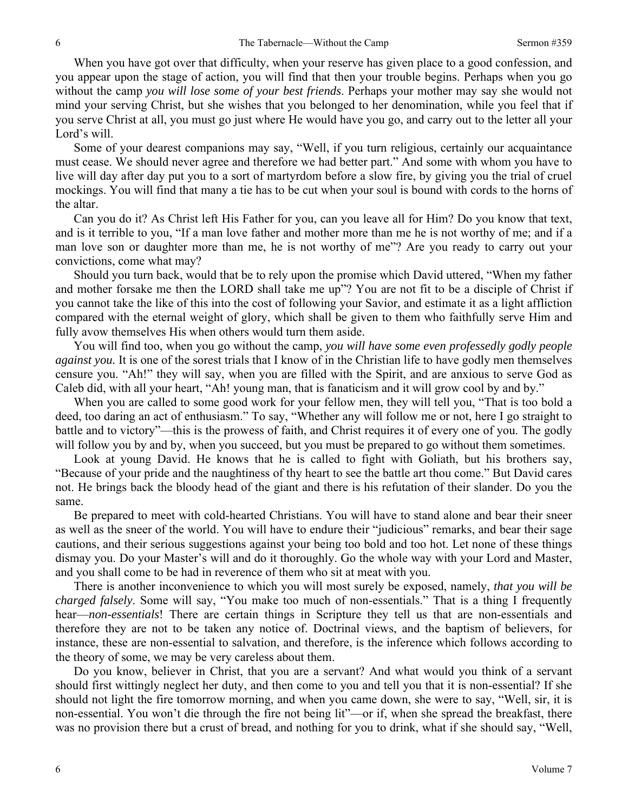When you have got over that difficulty, when your reserve has given place to a good confession, and you appear upon the stage of action, you will find that then your trouble begins. Perhaps when you go without the camp *you will lose some of your best friends*. Perhaps your mother may say she would not mind your serving Christ, but she wishes that you belonged to her denomination, while you feel that if you serve Christ at all, you must go just where He would have you go, and carry out to the letter all your Lord's will.

Some of your dearest companions may say, "Well, if you turn religious, certainly our acquaintance must cease. We should never agree and therefore we had better part." And some with whom you have to live will day after day put you to a sort of martyrdom before a slow fire, by giving you the trial of cruel mockings. You will find that many a tie has to be cut when your soul is bound with cords to the horns of the altar.

Can you do it? As Christ left His Father for you, can you leave all for Him? Do you know that text, and is it terrible to you, "If a man love father and mother more than me he is not worthy of me; and if a man love son or daughter more than me, he is not worthy of me"? Are you ready to carry out your convictions, come what may?

Should you turn back, would that be to rely upon the promise which David uttered, "When my father and mother forsake me then the LORD shall take me up"? You are not fit to be a disciple of Christ if you cannot take the like of this into the cost of following your Savior, and estimate it as a light affliction compared with the eternal weight of glory, which shall be given to them who faithfully serve Him and fully avow themselves His when others would turn them aside.

You will find too, when you go without the camp, *you will have some even professedly godly people against you.* It is one of the sorest trials that I know of in the Christian life to have godly men themselves censure you. "Ah!" they will say, when you are filled with the Spirit, and are anxious to serve God as Caleb did, with all your heart, "Ah! young man, that is fanaticism and it will grow cool by and by."

When you are called to some good work for your fellow men, they will tell you, "That is too bold a deed, too daring an act of enthusiasm." To say, "Whether any will follow me or not, here I go straight to battle and to victory"—this is the prowess of faith, and Christ requires it of every one of you. The godly will follow you by and by, when you succeed, but you must be prepared to go without them sometimes.

Look at young David. He knows that he is called to fight with Goliath, but his brothers say, "Because of your pride and the naughtiness of thy heart to see the battle art thou come." But David cares not. He brings back the bloody head of the giant and there is his refutation of their slander. Do you the same.

Be prepared to meet with cold-hearted Christians. You will have to stand alone and bear their sneer as well as the sneer of the world. You will have to endure their "judicious" remarks, and bear their sage cautions, and their serious suggestions against your being too bold and too hot. Let none of these things dismay you. Do your Master's will and do it thoroughly. Go the whole way with your Lord and Master, and you shall come to be had in reverence of them who sit at meat with you.

There is another inconvenience to which you will most surely be exposed, namely, *that you will be charged falsely*. Some will say, "You make too much of non-essentials." That is a thing I frequently hear—*non-essentials*! There are certain things in Scripture they tell us that are non-essentials and therefore they are not to be taken any notice of. Doctrinal views, and the baptism of believers, for instance, these are non-essential to salvation, and therefore, is the inference which follows according to the theory of some, we may be very careless about them.

Do you know, believer in Christ, that you are a servant? And what would you think of a servant should first wittingly neglect her duty, and then come to you and tell you that it is non-essential? If she should not light the fire tomorrow morning, and when you came down, she were to say, "Well, sir, it is non-essential. You won't die through the fire not being lit"—or if, when she spread the breakfast, there was no provision there but a crust of bread, and nothing for you to drink, what if she should say, "Well,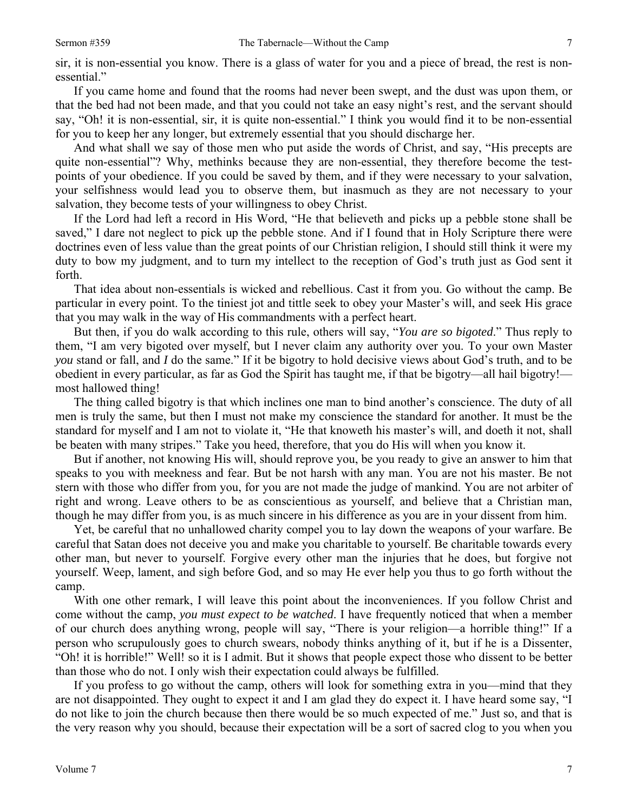sir, it is non-essential you know. There is a glass of water for you and a piece of bread, the rest is nonessential."

If you came home and found that the rooms had never been swept, and the dust was upon them, or that the bed had not been made, and that you could not take an easy night's rest, and the servant should say, "Oh! it is non-essential, sir, it is quite non-essential." I think you would find it to be non-essential for you to keep her any longer, but extremely essential that you should discharge her.

And what shall we say of those men who put aside the words of Christ, and say, "His precepts are quite non-essential"? Why, methinks because they are non-essential, they therefore become the testpoints of your obedience. If you could be saved by them, and if they were necessary to your salvation, your selfishness would lead you to observe them, but inasmuch as they are not necessary to your salvation, they become tests of your willingness to obey Christ.

If the Lord had left a record in His Word, "He that believeth and picks up a pebble stone shall be saved," I dare not neglect to pick up the pebble stone. And if I found that in Holy Scripture there were doctrines even of less value than the great points of our Christian religion, I should still think it were my duty to bow my judgment, and to turn my intellect to the reception of God's truth just as God sent it forth.

That idea about non-essentials is wicked and rebellious. Cast it from you. Go without the camp. Be particular in every point. To the tiniest jot and tittle seek to obey your Master's will, and seek His grace that you may walk in the way of His commandments with a perfect heart.

But then, if you do walk according to this rule, others will say, "*You are so bigoted*." Thus reply to them, "I am very bigoted over myself, but I never claim any authority over you. To your own Master *you* stand or fall, and *I* do the same." If it be bigotry to hold decisive views about God's truth, and to be obedient in every particular, as far as God the Spirit has taught me, if that be bigotry—all hail bigotry! most hallowed thing!

The thing called bigotry is that which inclines one man to bind another's conscience. The duty of all men is truly the same, but then I must not make my conscience the standard for another. It must be the standard for myself and I am not to violate it, "He that knoweth his master's will, and doeth it not, shall be beaten with many stripes." Take you heed, therefore, that you do His will when you know it.

But if another, not knowing His will, should reprove you, be you ready to give an answer to him that speaks to you with meekness and fear. But be not harsh with any man. You are not his master. Be not stern with those who differ from you, for you are not made the judge of mankind. You are not arbiter of right and wrong. Leave others to be as conscientious as yourself, and believe that a Christian man, though he may differ from you, is as much sincere in his difference as you are in your dissent from him.

Yet, be careful that no unhallowed charity compel you to lay down the weapons of your warfare. Be careful that Satan does not deceive you and make you charitable to yourself. Be charitable towards every other man, but never to yourself. Forgive every other man the injuries that he does, but forgive not yourself. Weep, lament, and sigh before God, and so may He ever help you thus to go forth without the camp.

With one other remark, I will leave this point about the inconveniences. If you follow Christ and come without the camp, *you must expect to be watched*. I have frequently noticed that when a member of our church does anything wrong, people will say, "There is your religion—a horrible thing!" If a person who scrupulously goes to church swears, nobody thinks anything of it, but if he is a Dissenter, "Oh! it is horrible!" Well! so it is I admit. But it shows that people expect those who dissent to be better than those who do not. I only wish their expectation could always be fulfilled.

If you profess to go without the camp, others will look for something extra in you—mind that they are not disappointed. They ought to expect it and I am glad they do expect it. I have heard some say, "I do not like to join the church because then there would be so much expected of me." Just so, and that is the very reason why you should, because their expectation will be a sort of sacred clog to you when you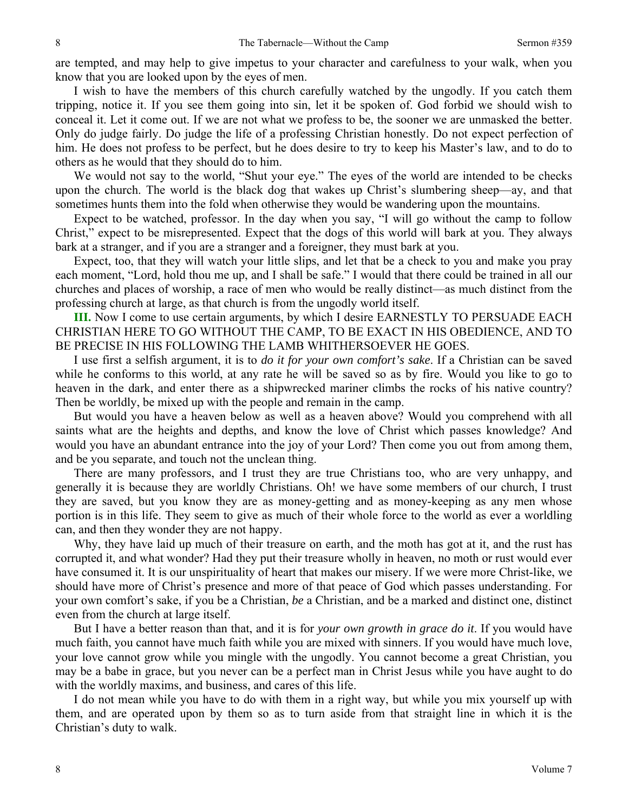are tempted, and may help to give impetus to your character and carefulness to your walk, when you know that you are looked upon by the eyes of men.

I wish to have the members of this church carefully watched by the ungodly. If you catch them tripping, notice it. If you see them going into sin, let it be spoken of. God forbid we should wish to conceal it. Let it come out. If we are not what we profess to be, the sooner we are unmasked the better. Only do judge fairly. Do judge the life of a professing Christian honestly. Do not expect perfection of him. He does not profess to be perfect, but he does desire to try to keep his Master's law, and to do to others as he would that they should do to him.

We would not say to the world, "Shut your eye." The eyes of the world are intended to be checks upon the church. The world is the black dog that wakes up Christ's slumbering sheep—ay, and that sometimes hunts them into the fold when otherwise they would be wandering upon the mountains.

Expect to be watched, professor. In the day when you say, "I will go without the camp to follow Christ," expect to be misrepresented. Expect that the dogs of this world will bark at you. They always bark at a stranger, and if you are a stranger and a foreigner, they must bark at you.

Expect, too, that they will watch your little slips, and let that be a check to you and make you pray each moment, "Lord, hold thou me up, and I shall be safe." I would that there could be trained in all our churches and places of worship, a race of men who would be really distinct—as much distinct from the professing church at large, as that church is from the ungodly world itself.

**III.** Now I come to use certain arguments, by which I desire EARNESTLY TO PERSUADE EACH CHRISTIAN HERE TO GO WITHOUT THE CAMP, TO BE EXACT IN HIS OBEDIENCE, AND TO BE PRECISE IN HIS FOLLOWING THE LAMB WHITHERSOEVER HE GOES.

I use first a selfish argument, it is to *do it for your own comfort's sake*. If a Christian can be saved while he conforms to this world, at any rate he will be saved so as by fire. Would you like to go to heaven in the dark, and enter there as a shipwrecked mariner climbs the rocks of his native country? Then be worldly, be mixed up with the people and remain in the camp.

But would you have a heaven below as well as a heaven above? Would you comprehend with all saints what are the heights and depths, and know the love of Christ which passes knowledge? And would you have an abundant entrance into the joy of your Lord? Then come you out from among them, and be you separate, and touch not the unclean thing.

There are many professors, and I trust they are true Christians too, who are very unhappy, and generally it is because they are worldly Christians. Oh! we have some members of our church, I trust they are saved, but you know they are as money-getting and as money-keeping as any men whose portion is in this life. They seem to give as much of their whole force to the world as ever a worldling can, and then they wonder they are not happy.

Why, they have laid up much of their treasure on earth, and the moth has got at it, and the rust has corrupted it, and what wonder? Had they put their treasure wholly in heaven, no moth or rust would ever have consumed it. It is our unspirituality of heart that makes our misery. If we were more Christ-like, we should have more of Christ's presence and more of that peace of God which passes understanding. For your own comfort's sake, if you be a Christian, *be* a Christian, and be a marked and distinct one, distinct even from the church at large itself.

But I have a better reason than that, and it is for *your own growth in grace do it*. If you would have much faith, you cannot have much faith while you are mixed with sinners. If you would have much love, your love cannot grow while you mingle with the ungodly. You cannot become a great Christian, you may be a babe in grace, but you never can be a perfect man in Christ Jesus while you have aught to do with the worldly maxims, and business, and cares of this life.

I do not mean while you have to do with them in a right way, but while you mix yourself up with them, and are operated upon by them so as to turn aside from that straight line in which it is the Christian's duty to walk.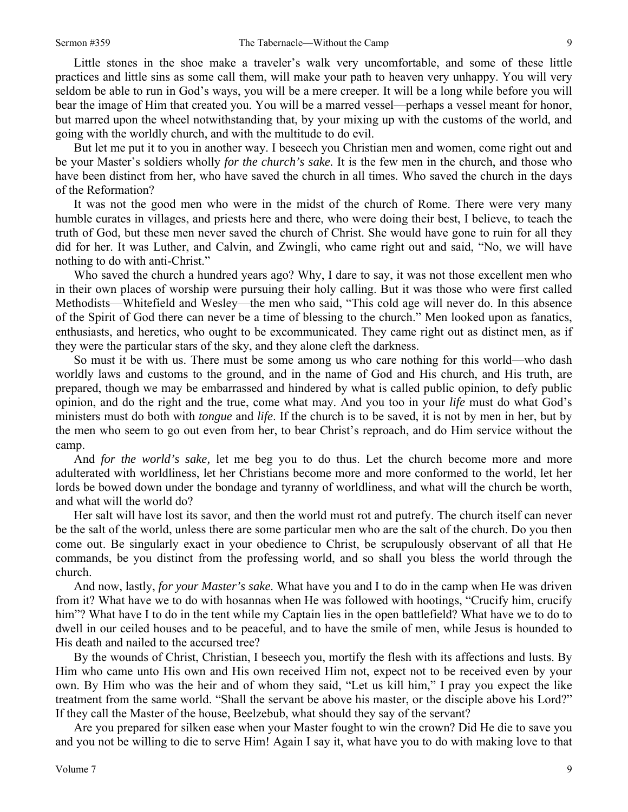Little stones in the shoe make a traveler's walk very uncomfortable, and some of these little practices and little sins as some call them, will make your path to heaven very unhappy. You will very seldom be able to run in God's ways, you will be a mere creeper. It will be a long while before you will bear the image of Him that created you. You will be a marred vessel—perhaps a vessel meant for honor, but marred upon the wheel notwithstanding that, by your mixing up with the customs of the world, and

going with the worldly church, and with the multitude to do evil. But let me put it to you in another way. I beseech you Christian men and women, come right out and be your Master's soldiers wholly *for the church's sake.* It is the few men in the church, and those who have been distinct from her, who have saved the church in all times. Who saved the church in the days of the Reformation?

It was not the good men who were in the midst of the church of Rome. There were very many humble curates in villages, and priests here and there, who were doing their best, I believe, to teach the truth of God, but these men never saved the church of Christ. She would have gone to ruin for all they did for her. It was Luther, and Calvin, and Zwingli, who came right out and said, "No, we will have nothing to do with anti-Christ."

Who saved the church a hundred years ago? Why, I dare to say, it was not those excellent men who in their own places of worship were pursuing their holy calling. But it was those who were first called Methodists—Whitefield and Wesley—the men who said, "This cold age will never do. In this absence of the Spirit of God there can never be a time of blessing to the church." Men looked upon as fanatics, enthusiasts, and heretics, who ought to be excommunicated. They came right out as distinct men, as if they were the particular stars of the sky, and they alone cleft the darkness.

So must it be with us. There must be some among us who care nothing for this world—who dash worldly laws and customs to the ground, and in the name of God and His church, and His truth, are prepared, though we may be embarrassed and hindered by what is called public opinion, to defy public opinion, and do the right and the true, come what may. And you too in your *life* must do what God's ministers must do both with *tongue* and *life*. If the church is to be saved, it is not by men in her, but by the men who seem to go out even from her, to bear Christ's reproach, and do Him service without the camp.

And *for the world's sake,* let me beg you to do thus. Let the church become more and more adulterated with worldliness, let her Christians become more and more conformed to the world, let her lords be bowed down under the bondage and tyranny of worldliness, and what will the church be worth, and what will the world do?

Her salt will have lost its savor, and then the world must rot and putrefy. The church itself can never be the salt of the world, unless there are some particular men who are the salt of the church. Do you then come out. Be singularly exact in your obedience to Christ, be scrupulously observant of all that He commands, be you distinct from the professing world, and so shall you bless the world through the church.

And now, lastly, *for your Master's sake*. What have you and I to do in the camp when He was driven from it? What have we to do with hosannas when He was followed with hootings, "Crucify him, crucify him"? What have I to do in the tent while my Captain lies in the open battlefield? What have we to do to dwell in our ceiled houses and to be peaceful, and to have the smile of men, while Jesus is hounded to His death and nailed to the accursed tree?

By the wounds of Christ, Christian, I beseech you, mortify the flesh with its affections and lusts. By Him who came unto His own and His own received Him not, expect not to be received even by your own. By Him who was the heir and of whom they said, "Let us kill him," I pray you expect the like treatment from the same world. "Shall the servant be above his master, or the disciple above his Lord?" If they call the Master of the house, Beelzebub, what should they say of the servant?

Are you prepared for silken ease when your Master fought to win the crown? Did He die to save you and you not be willing to die to serve Him! Again I say it, what have you to do with making love to that

Volume 7